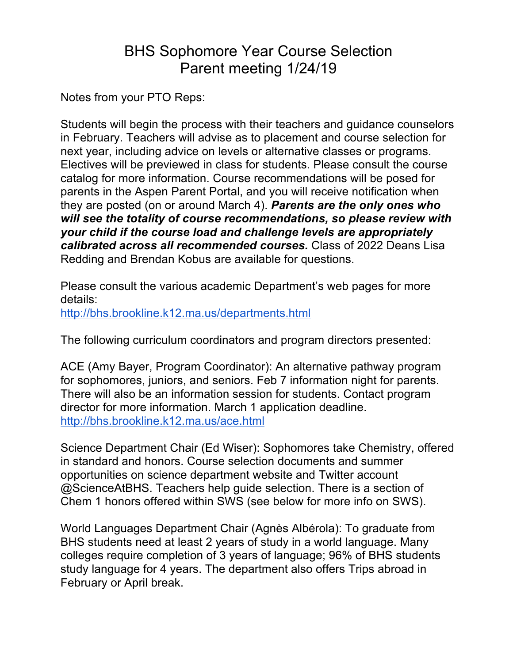# BHS Sophomore Year Course Selection Parent meeting 1/24/19

Notes from your PTO Reps:

Students will begin the process with their teachers and guidance counselors in February. Teachers will advise as to placement and course selection for next year, including advice on levels or alternative classes or programs. Electives will be previewed in class for students. Please consult the course catalog for more information. Course recommendations will be posed for parents in the Aspen Parent Portal, and you will receive notification when they are posted (on or around March 4). *Parents are the only ones who will see the totality of course recommendations, so please review with your child if the course load and challenge levels are appropriately calibrated across all recommended courses.* Class of 2022 Deans Lisa Redding and Brendan Kobus are available for questions.

Please consult the various academic Department's web pages for more details: http://bhs.brookline.k12.ma.us/departments.html

The following curriculum coordinators and program directors presented:

ACE (Amy Bayer, Program Coordinator): An alternative pathway program for sophomores, juniors, and seniors. Feb 7 information night for parents. There will also be an information session for students. Contact program director for more information. March 1 application deadline. http://bhs.brookline.k12.ma.us/ace.html

Science Department Chair (Ed Wiser): Sophomores take Chemistry, offered in standard and honors. Course selection documents and summer opportunities on science department website and Twitter account @ScienceAtBHS. Teachers help guide selection. There is a section of Chem 1 honors offered within SWS (see below for more info on SWS).

World Languages Department Chair (Agnès Albérola): To graduate from BHS students need at least 2 years of study in a world language. Many colleges require completion of 3 years of language; 96% of BHS students study language for 4 years. The department also offers Trips abroad in February or April break.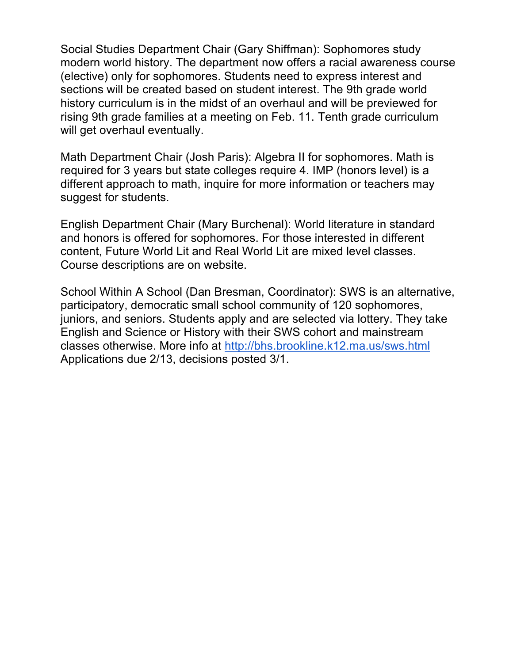Social Studies Department Chair (Gary Shiffman): Sophomores study modern world history. The department now offers a racial awareness course (elective) only for sophomores. Students need to express interest and sections will be created based on student interest. The 9th grade world history curriculum is in the midst of an overhaul and will be previewed for rising 9th grade families at a meeting on Feb. 11. Tenth grade curriculum will get overhaul eventually.

Math Department Chair (Josh Paris): Algebra II for sophomores. Math is required for 3 years but state colleges require 4. IMP (honors level) is a different approach to math, inquire for more information or teachers may suggest for students.

English Department Chair (Mary Burchenal): World literature in standard and honors is offered for sophomores. For those interested in different content, Future World Lit and Real World Lit are mixed level classes. Course descriptions are on website.

School Within A School (Dan Bresman, Coordinator): SWS is an alternative, participatory, democratic small school community of 120 sophomores, juniors, and seniors. Students apply and are selected via lottery. They take English and Science or History with their SWS cohort and mainstream classes otherwise. More info at http://bhs.brookline.k12.ma.us/sws.html Applications due 2/13, decisions posted 3/1.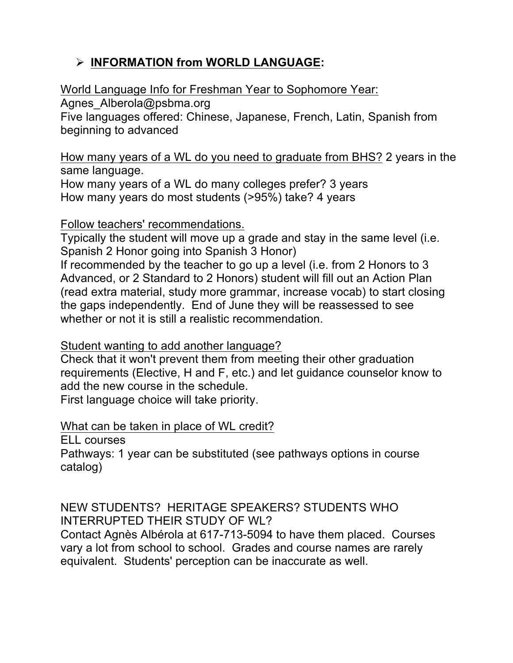# Ø **INFORMATION from WORLD LANGUAGE:**

World Language Info for Freshman Year to Sophomore Year:

Agnes Alberola@psbma.org

Five languages offered: Chinese, Japanese, French, Latin, Spanish from beginning to advanced

How many years of a WL do you need to graduate from BHS? 2 years in the same language.

How many years of a WL do many colleges prefer? 3 years How many years do most students (>95%) take? 4 years

### Follow teachers' recommendations.

Typically the student will move up a grade and stay in the same level (i.e. Spanish 2 Honor going into Spanish 3 Honor)

If recommended by the teacher to go up a level (i.e. from 2 Honors to 3 Advanced, or 2 Standard to 2 Honors) student will fill out an Action Plan (read extra material, study more grammar, increase vocab) to start closing the gaps independently. End of June they will be reassessed to see whether or not it is still a realistic recommendation.

Student wanting to add another language?

Check that it won't prevent them from meeting their other graduation requirements (Elective, H and F, etc.) and let guidance counselor know to add the new course in the schedule.

First language choice will take priority.

# What can be taken in place of WL credit?

ELL courses

Pathways: 1 year can be substituted (see pathways options in course catalog)

NEW STUDENTS? HERITAGE SPEAKERS? STUDENTS WHO INTERRUPTED THEIR STUDY OF WL?

Contact Agnès Albérola at 617-713-5094 to have them placed. Courses vary a lot from school to school. Grades and course names are rarely equivalent. Students' perception can be inaccurate as well.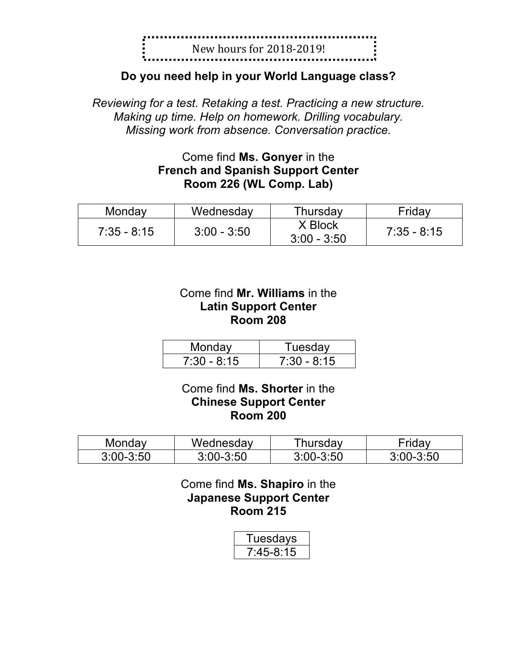

### **Do you need help in your World Language class?**

*Reviewing for a test. Retaking a test. Practicing a new structure. Making up time. Help on homework. Drilling vocabulary. Missing work from absence. Conversation practice.*

# Come find **Ms. Gonyer** in the **French and Spanish Support Center Room 226 (WL Comp. Lab)**

| Monday        | Wednesday     | Thursday                 | Fridav      |
|---------------|---------------|--------------------------|-------------|
| $7:35 - 8:15$ | $3:00 - 3:50$ | X Block<br>$3:00 - 3:50$ | 7:35 - 8:15 |

### Come find **Mr. Williams** in the **Latin Support Center Room 208**

| Monday        | Tuesdav       |  |
|---------------|---------------|--|
| $7:30 - 8:15$ | $7:30 - 8:15$ |  |

### Come find **Ms. Shorter** in the **Chinese Support Center Room 200**

| Mondav        | Wednesdav     | ™hursdav      | ⊺ridav        |
|---------------|---------------|---------------|---------------|
| $3:00 - 3:50$ | $3:00 - 3:50$ | $3:00 - 3:50$ | $3:00 - 3:50$ |

Come find **Ms. Shapiro** in the **Japanese Support Center Room 215**

| Tuesdays    |
|-------------|
| $7:45-8:15$ |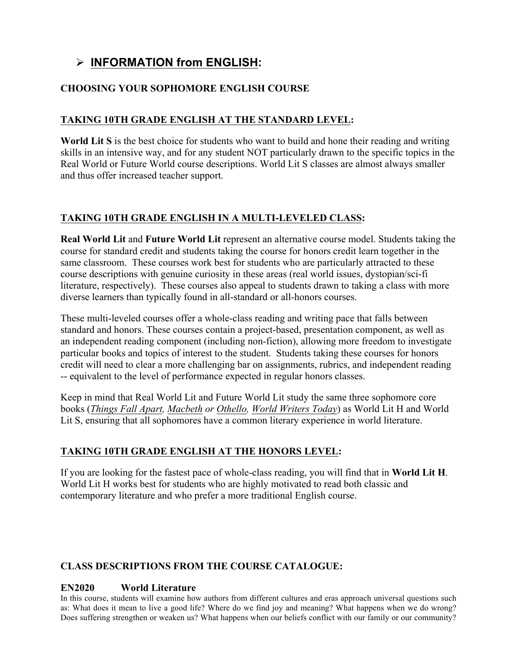# Ø **INFORMATION from ENGLISH:**

### **CHOOSING YOUR SOPHOMORE ENGLISH COURSE**

### **TAKING 10TH GRADE ENGLISH AT THE STANDARD LEVEL:**

**World Lit S** is the best choice for students who want to build and hone their reading and writing skills in an intensive way, and for any student NOT particularly drawn to the specific topics in the Real World or Future World course descriptions. World Lit S classes are almost always smaller and thus offer increased teacher support.

### **TAKING 10TH GRADE ENGLISH IN A MULTI-LEVELED CLASS:**

**Real World Lit** and **Future World Lit** represent an alternative course model. Students taking the course for standard credit and students taking the course for honors credit learn together in the same classroom. These courses work best for students who are particularly attracted to these course descriptions with genuine curiosity in these areas (real world issues, dystopian/sci-fi literature, respectively). These courses also appeal to students drawn to taking a class with more diverse learners than typically found in all-standard or all-honors courses.

These multi-leveled courses offer a whole-class reading and writing pace that falls between standard and honors. These courses contain a project-based, presentation component, as well as an independent reading component (including non-fiction), allowing more freedom to investigate particular books and topics of interest to the student. Students taking these courses for honors credit will need to clear a more challenging bar on assignments, rubrics, and independent reading -- equivalent to the level of performance expected in regular honors classes.

Keep in mind that Real World Lit and Future World Lit study the same three sophomore core books (*Things Fall Apart, Macbeth or Othello, World Writers Today*) as World Lit H and World Lit S, ensuring that all sophomores have a common literary experience in world literature.

### **TAKING 10TH GRADE ENGLISH AT THE HONORS LEVEL:**

If you are looking for the fastest pace of whole-class reading, you will find that in **World Lit H**. World Lit H works best for students who are highly motivated to read both classic and contemporary literature and who prefer a more traditional English course.

### **CLASS DESCRIPTIONS FROM THE COURSE CATALOGUE:**

#### **EN2020 World Literature**

In this course, students will examine how authors from different cultures and eras approach universal questions such as: What does it mean to live a good life? Where do we find joy and meaning? What happens when we do wrong? Does suffering strengthen or weaken us? What happens when our beliefs conflict with our family or our community?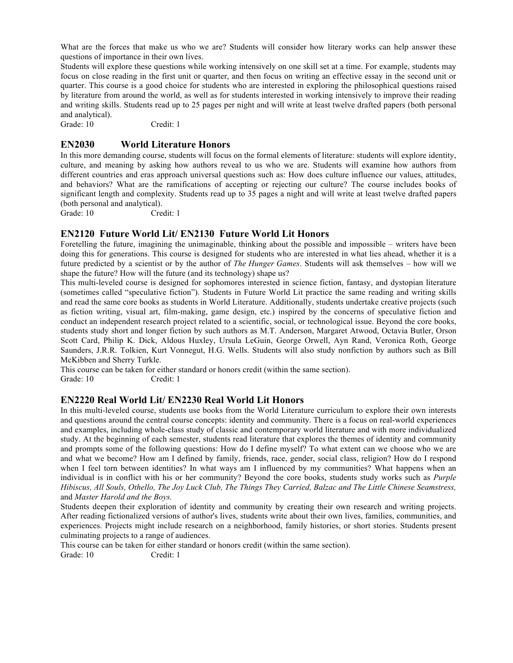What are the forces that make us who we are? Students will consider how literary works can help answer these questions of importance in their own lives.

Students will explore these questions while working intensively on one skill set at a time. For example, students may focus on close reading in the first unit or quarter, and then focus on writing an effective essay in the second unit or quarter. This course is a good choice for students who are interested in exploring the philosophical questions raised by literature from around the world, as well as for students interested in working intensively to improve their reading and writing skills. Students read up to 25 pages per night and will write at least twelve drafted papers (both personal and analytical).

Grade: 10 Credit: 1

#### **EN2030 World Literature Honors**

In this more demanding course, students will focus on the formal elements of literature: students will explore identity, culture, and meaning by asking how authors reveal to us who we are. Students will examine how authors from different countries and eras approach universal questions such as: How does culture influence our values, attitudes, and behaviors? What are the ramifications of accepting or rejecting our culture? The course includes books of significant length and complexity. Students read up to 35 pages a night and will write at least twelve drafted papers (both personal and analytical).

Grade: 10 Credit: 1

#### **EN2120 Future World Lit/ EN2130 Future World Lit Honors**

Foretelling the future, imagining the unimaginable, thinking about the possible and impossible – writers have been doing this for generations. This course is designed for students who are interested in what lies ahead, whether it is a future predicted by a scientist or by the author of *The Hunger Games*. Students will ask themselves – how will we shape the future? How will the future (and its technology) shape us?

This multi-leveled course is designed for sophomores interested in science fiction, fantasy, and dystopian literature (sometimes called "speculative fiction"). Students in Future World Lit practice the same reading and writing skills and read the same core books as students in World Literature. Additionally, students undertake creative projects (such as fiction writing, visual art, film-making, game design, etc.) inspired by the concerns of speculative fiction and conduct an independent research project related to a scientific, social, or technological issue. Beyond the core books, students study short and longer fiction by such authors as M.T. Anderson, Margaret Atwood, Octavia Butler, Orson Scott Card, Philip K. Dick, Aldous Huxley, Ursula LeGuin, George Orwell, Ayn Rand, Veronica Roth, George Saunders, J.R.R. Tolkien, Kurt Vonnegut, H.G. Wells. Students will also study nonfiction by authors such as Bill McKibben and Sherry Turkle.

This course can be taken for either standard or honors credit (within the same section). Grade: 10 Credit: 1

#### **EN2220 Real World Lit/ EN2230 Real World Lit Honors**

In this multi-leveled course, students use books from the World Literature curriculum to explore their own interests and questions around the central course concepts: identity and community. There is a focus on real-world experiences and examples, including whole-class study of classic and contemporary world literature and with more individualized study. At the beginning of each semester, students read literature that explores the themes of identity and community and prompts some of the following questions: How do I define myself? To what extent can we choose who we are and what we become? How am I defined by family, friends, race, gender, social class, religion? How do I respond when I feel torn between identities? In what ways am I influenced by my communities? What happens when an individual is in conflict with his or her community? Beyond the core books, students study works such as *Purple Hibiscus, All Souls, Othello, The Joy Luck Club, The Things They Carried, Balzac and The Little Chinese Seamstress,*  and *Master Harold and the Boys.*

Students deepen their exploration of identity and community by creating their own research and writing projects. After reading fictionalized versions of author's lives, students write about their own lives, families, communities, and experiences. Projects might include research on a neighborhood, family histories, or short stories. Students present culminating projects to a range of audiences.

This course can be taken for either standard or honors credit (within the same section).

Grade: 10 Credit: 1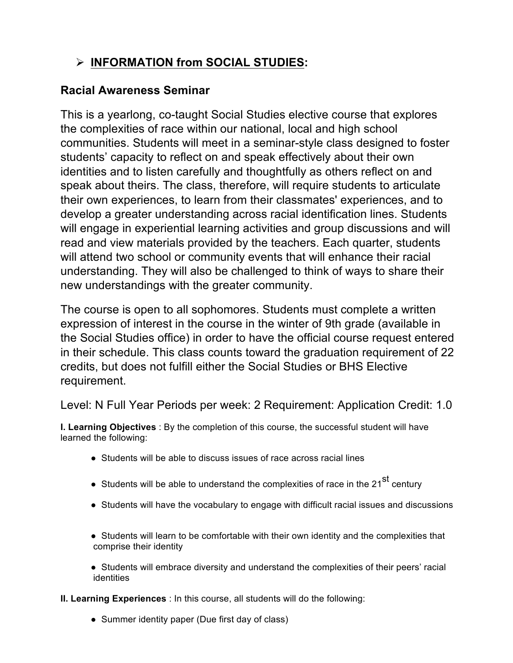# Ø **INFORMATION from SOCIAL STUDIES:**

# **Racial Awareness Seminar**

This is a yearlong, co-taught Social Studies elective course that explores the complexities of race within our national, local and high school communities. Students will meet in a seminar-style class designed to foster students' capacity to reflect on and speak effectively about their own identities and to listen carefully and thoughtfully as others reflect on and speak about theirs. The class, therefore, will require students to articulate their own experiences, to learn from their classmates' experiences, and to develop a greater understanding across racial identification lines. Students will engage in experiential learning activities and group discussions and will read and view materials provided by the teachers. Each quarter, students will attend two school or community events that will enhance their racial understanding. They will also be challenged to think of ways to share their new understandings with the greater community.

The course is open to all sophomores. Students must complete a written expression of interest in the course in the winter of 9th grade (available in the Social Studies office) in order to have the official course request entered in their schedule. This class counts toward the graduation requirement of 22 credits, but does not fulfill either the Social Studies or BHS Elective requirement.

Level: N Full Year Periods per week: 2 Requirement: Application Credit: 1.0

**I. Learning Objectives** : By the completion of this course, the successful student will have learned the following:

- Students will be able to discuss issues of race across racial lines
- Students will be able to understand the complexities of race in the 21<sup>st</sup> century
- Students will have the vocabulary to engage with difficult racial issues and discussions
- Students will learn to be comfortable with their own identity and the complexities that comprise their identity
- Students will embrace diversity and understand the complexities of their peers' racial identities

**II. Learning Experiences** : In this course, all students will do the following:

• Summer identity paper (Due first day of class)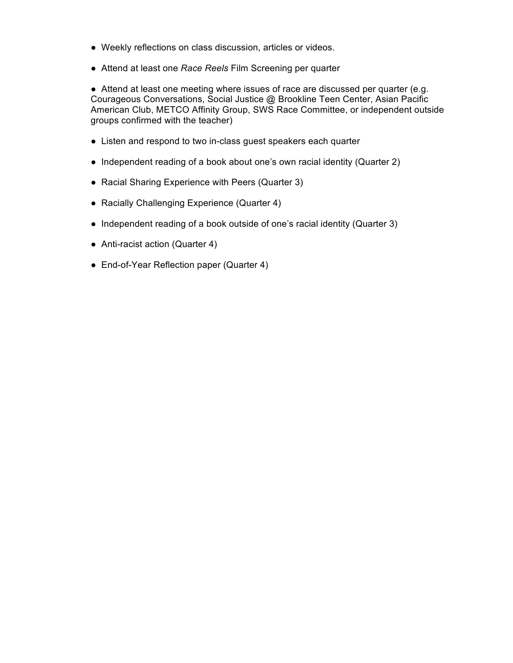- Weekly reflections on class discussion, articles or videos.
- Attend at least one *Race Reels* Film Screening per quarter

● Attend at least one meeting where issues of race are discussed per quarter (e.g. Courageous Conversations, Social Justice @ Brookline Teen Center, Asian Pacific American Club, METCO Affinity Group, SWS Race Committee, or independent outside groups confirmed with the teacher)

- Listen and respond to two in-class guest speakers each quarter
- Independent reading of a book about one's own racial identity (Quarter 2)
- Racial Sharing Experience with Peers (Quarter 3)
- Racially Challenging Experience (Quarter 4)
- Independent reading of a book outside of one's racial identity (Quarter 3)
- Anti-racist action (Quarter 4)
- End-of-Year Reflection paper (Quarter 4)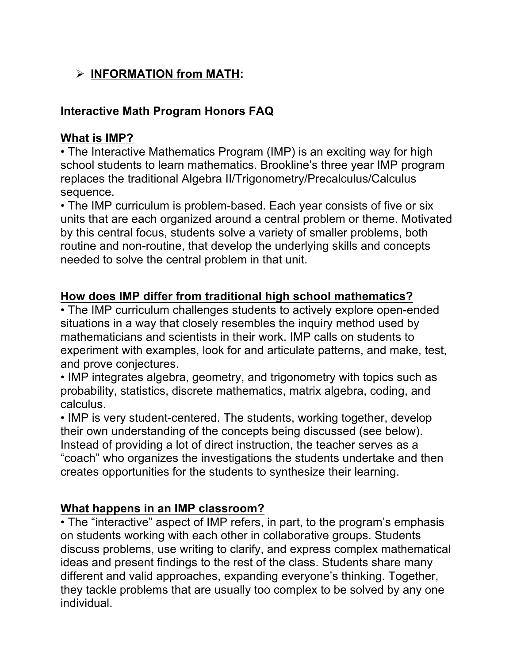# Ø **INFORMATION from MATH:**

# **Interactive Math Program Honors FAQ**

# **What is IMP?**

• The Interactive Mathematics Program (IMP) is an exciting way for high school students to learn mathematics. Brookline's three year IMP program replaces the traditional Algebra II/Trigonometry/Precalculus/Calculus sequence.

• The IMP curriculum is problem-based. Each year consists of five or six units that are each organized around a central problem or theme. Motivated by this central focus, students solve a variety of smaller problems, both routine and non-routine, that develop the underlying skills and concepts needed to solve the central problem in that unit.

# **How does IMP differ from traditional high school mathematics?**

• The IMP curriculum challenges students to actively explore open-ended situations in a way that closely resembles the inquiry method used by mathematicians and scientists in their work. IMP calls on students to experiment with examples, look for and articulate patterns, and make, test, and prove conjectures.

• IMP integrates algebra, geometry, and trigonometry with topics such as probability, statistics, discrete mathematics, matrix algebra, coding, and calculus.

• IMP is very student-centered. The students, working together, develop their own understanding of the concepts being discussed (see below). Instead of providing a lot of direct instruction, the teacher serves as a "coach" who organizes the investigations the students undertake and then creates opportunities for the students to synthesize their learning.

# **What happens in an IMP classroom?**

• The "interactive" aspect of IMP refers, in part, to the program's emphasis on students working with each other in collaborative groups. Students discuss problems, use writing to clarify, and express complex mathematical ideas and present findings to the rest of the class. Students share many different and valid approaches, expanding everyone's thinking. Together, they tackle problems that are usually too complex to be solved by any one individual.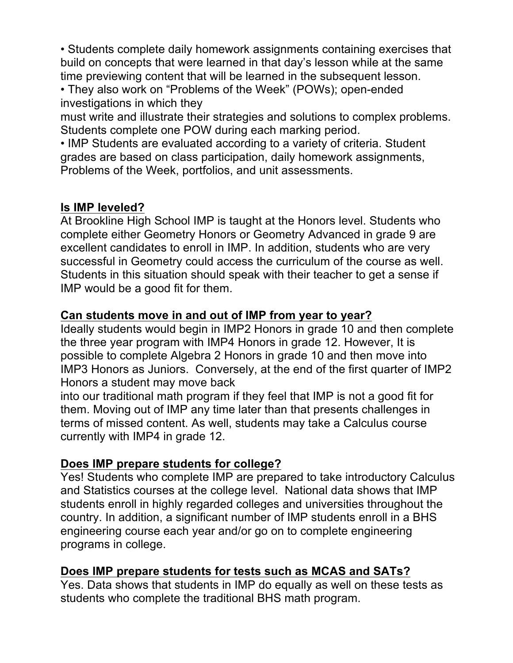• Students complete daily homework assignments containing exercises that build on concepts that were learned in that day's lesson while at the same time previewing content that will be learned in the subsequent lesson.

• They also work on "Problems of the Week" (POWs); open-ended investigations in which they

must write and illustrate their strategies and solutions to complex problems. Students complete one POW during each marking period.

• IMP Students are evaluated according to a variety of criteria. Student grades are based on class participation, daily homework assignments, Problems of the Week, portfolios, and unit assessments.

# **Is IMP leveled?**

At Brookline High School IMP is taught at the Honors level. Students who complete either Geometry Honors or Geometry Advanced in grade 9 are excellent candidates to enroll in IMP. In addition, students who are very successful in Geometry could access the curriculum of the course as well. Students in this situation should speak with their teacher to get a sense if IMP would be a good fit for them.

# **Can students move in and out of IMP from year to year?**

Ideally students would begin in IMP2 Honors in grade 10 and then complete the three year program with IMP4 Honors in grade 12. However, It is possible to complete Algebra 2 Honors in grade 10 and then move into IMP3 Honors as Juniors. Conversely, at the end of the first quarter of IMP2 Honors a student may move back

into our traditional math program if they feel that IMP is not a good fit for them. Moving out of IMP any time later than that presents challenges in terms of missed content. As well, students may take a Calculus course currently with IMP4 in grade 12.

# **Does IMP prepare students for college?**

Yes! Students who complete IMP are prepared to take introductory Calculus and Statistics courses at the college level. National data shows that IMP students enroll in highly regarded colleges and universities throughout the country. In addition, a significant number of IMP students enroll in a BHS engineering course each year and/or go on to complete engineering programs in college.

# **Does IMP prepare students for tests such as MCAS and SATs?**

Yes. Data shows that students in IMP do equally as well on these tests as students who complete the traditional BHS math program.